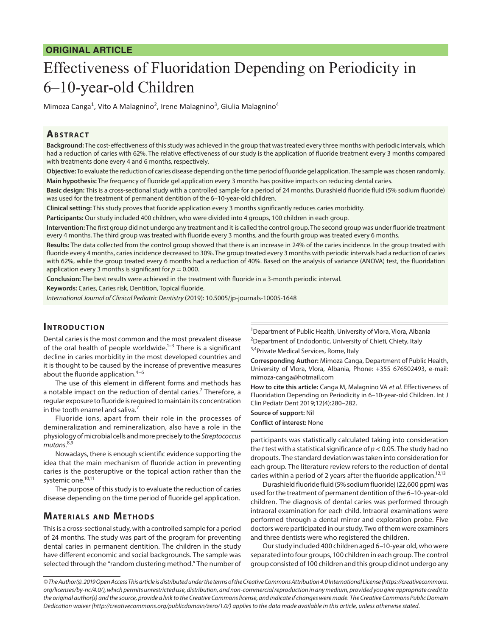## **ORIGINAL ARTICLE**

# Effectiveness of Fluoridation Depending on Periodicity in 6–10-year-old Children

Mimoza Canga<sup>1</sup>, Vito A Malagnino<sup>2</sup>, Irene Malagnino<sup>3</sup>, Giulia Malagnino<sup>4</sup>

### **ABSTRACT**

**Background:** The cost-effectiveness of this study was achieved in the group that was treated every three months with periodic intervals, which had a reduction of caries with 62%. The relative effectiveness of our study is the application of fluoride treatment every 3 months compared with treatments done every 4 and 6 months, respectively.

**Objective:** To evaluate the reduction of caries disease depending on the time period of fluoride gel application. The sample was chosen randomly. **Main hypothesis:** The frequency of fluoride gel application every 3 months has positive impacts on reducing dental caries.

**Basic design:** This is a cross-sectional study with a controlled sample for a period of 24 months. Durashield fluoride fluid (5% sodium fluoride) was used for the treatment of permanent dentition of the 6–10-year-old children.

**Clinical setting:** This study proves that fuoride application every 3 months significantly reduces caries morbidity.

**Participants:** Our study included 400 children, who were divided into 4 groups, 100 children in each group.

**Intervention:** The first group did not undergo any treatment and it is called the control group. The second group was under fluoride treatment every 4 months. The third group was treated with fluoride every 3 months, and the fourth group was treated every 6 months.

**Results:** The data collected from the control group showed that there is an increase in 24% of the caries incidence. In the group treated with fluoride every 4 months, caries incidence decreased to 30%. The group treated every 3 months with periodic intervals had a reduction of caries with 62%, while the group treated every 6 months had a reduction of 40%. Based on the analysis of variance (ANOVA) test, the fluoridation application every 3 months is significant for  $p = 0.000$ .

**Conclusion:** The best results were achieved in the treatment with fluoride in a 3-month periodic interval.

**Keywords:** Caries, Caries risk, Dentition, Topical fluoride.

*International Journal of Clinical Pediatric Dentistry* (2019): 10.5005/jp-journals-10005-1648

## **INTRODUCTION**

Dental caries is the most common and the most prevalent disease of the oral health of people worldwide.<sup>1-3</sup> There is a significant decline in caries morbidity in the most developed countries and it is thought to be caused by the increase of preventive measures about the fluoride application. $4-6$ 

The use of this element in different forms and methods has a notable impact on the reduction of dental caries.<sup>7</sup> Therefore, a regular exposure to fluoride is required to maintain its concentration in the tooth enamel and saliva.<sup>7</sup>

Fluoride ions, apart from their role in the processes of demineralization and remineralization, also have a role in the physiology of microbial cells and more precisely to the *Streptococcus mutans*. 8,9

Nowadays, there is enough scientific evidence supporting the idea that the main mechanism of fluoride action in preventing caries is the posteruptive or the topical action rather than the systemic one.<sup>10,11</sup>

The purpose of this study is to evaluate the reduction of caries disease depending on the time period of fluoride gel application.

## **MATERIALS AND METHODS**

This is a cross-sectional study, with a controlled sample for a period of 24 months. The study was part of the program for preventing dental caries in permanent dentition. The children in the study have different economic and social backgrounds. The sample was selected through the "random clustering method." The number of <sup>1</sup>Department of Public Health, University of Vlora, Vlora, Albania <sup>2</sup>Department of Endodontic, University of Chieti, Chiety, Italy

<sup>3,4</sup>Private Medical Services, Rome, Italy

**Corresponding Author:** Mimoza Canga, Department of Public Health, University of Vlora, Vlora, Albania, Phone: +355 676502493, e-mail: mimoza-canga@hotmail.com

**How to cite this article:** Canga M, Malagnino VA *et al*. Effectiveness of Fluoridation Depending on Periodicity in 6–10-year-old Children. Int J Clin Pediatr Dent 2019;12(4):280–282.

**Source of support:** Nil **Conflict of interest:** None

participants was statistically calculated taking into consideration the *t* test with a statistical significance of *p*< 0.05. The study had no dropouts. The standard deviation was taken into consideration for each group. The literature review refers to the reduction of dental caries within a period of 2 years after the fluoride application.<sup>12,13</sup>

Durashield fluoride fluid (5% sodium fluoride) (22,600 ppm) was used for the treatment of permanent dentition of the 6–10-year-old children. The diagnosis of dental caries was performed through intraoral examination for each child. Intraoral examinations were performed through a dental mirror and exploration probe. Five doctors were participated in our study. Two of them were examiners and three dentists were who registered the children.

Our study included 400 children aged 6–10-year old, who were separated into four groups, 100 children in each group. The control group consisted of 100 children and this group did not undergo any

*<sup>©</sup> The Author(s). 2019 Open Access This article is distributed under the terms of the Creative Commons Attribution 4.0 International License (https://creativecommons. org/licenses/by-nc/4.0/), which permits unrestricted use, distribution, and non-commercial reproduction in any medium, provided you give appropriate credit to the original author(s) and the source, provide a link to the Creative Commons license, and indicate if changes were made. The Creative Commons Public Domain Dedication waiver (http://creativecommons.org/publicdomain/zero/1.0/) applies to the data made available in this article, unless otherwise stated.*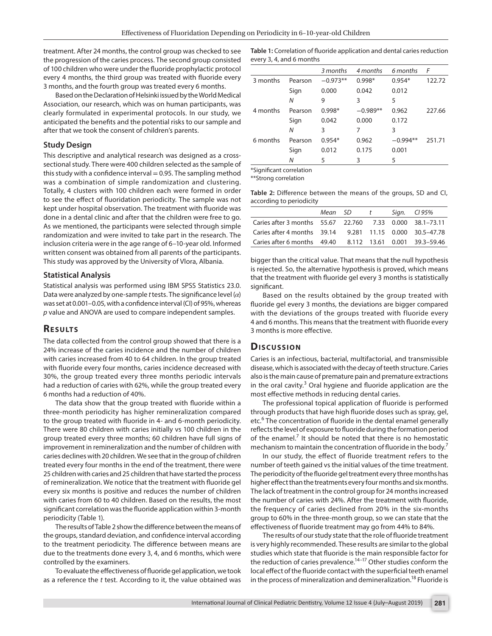treatment. After 24 months, the control group was checked to see the progression of the caries process. The second group consisted of 100 children who were under the fluoride prophylactic protocol every 4 months, the third group was treated with fluoride every 3 months, and the fourth group was treated every 6 months.

Based on the Declaration of Helsinki issued by the World Medical Association, our research, which was on human participants, was clearly formulated in experimental protocols. In our study, we anticipated the benefits and the potential risks to our sample and after that we took the consent of children's parents.

#### **Study Design**

This descriptive and analytical research was designed as a crosssectional study. There were 400 children selected as the sample of this study with a confidence interval  $= 0.95$ . The sampling method was a combination of simple randomization and clustering. Totally, 4 clusters with 100 children each were formed in order to see the effect of fluoridation periodicity. The sample was not kept under hospital observation. The treatment with fluoride was done in a dental clinic and after that the children were free to go. As we mentioned, the participants were selected through simple randomization and were invited to take part in the research. The inclusion criteria were in the age range of 6–10-year old. Informed written consent was obtained from all parents of the participants. This study was approved by the University of Vlora, Albania.

#### **Statistical Analysis**

Statistical analysis was performed using IBM SPSS Statistics 23.0. Data were analyzed by one-sample *t* tests. The significance level (*α*) was set at 0.001–0.05, with a confidence interval (CI) of 95%, whereas *p* value and ANOVA are used to compare independent samples.

#### **RESULTS**

The data collected from the control group showed that there is a 24% increase of the caries incidence and the number of children with caries increased from 40 to 64 children. In the group treated with fluoride every four months, caries incidence decreased with 30%, the group treated every three months periodic intervals had a reduction of caries with 62%, while the group treated every 6 months had a reduction of 40%.

The data show that the group treated with fluoride within a three-month periodicity has higher remineralization compared to the group treated with fluoride in 4- and 6-month periodicity. There were 80 children with caries initially vs 100 children in the group treated every three months; 60 children have full signs of improvement in remineralization and the number of children with caries declines with 20 children. We see that in the group of children treated every four months in the end of the treatment, there were 25 children with caries and 25 children that have started the process of remineralization. We notice that the treatment with fluoride gel every six months is positive and reduces the number of children with caries from 60 to 40 children. Based on the results, the most significant correlation was the fluoride application within 3-month periodicity (Table 1).

The results of Table 2 show the difference between the means of the groups, standard deviation, and confidence interval according to the treatment periodicity. The difference between means are due to the treatments done every 3, 4, and 6 months, which were controlled by the examiners.

To evaluate the effectiveness of fluoride gel application, we took as a reference the *t* test. According to it, the value obtained was

**Table 1:** Correlation of fluoride application and dental caries reduction every 3, 4, and 6 months

|                          |         | 3 months   | 4 months   | 6 months   | F      |  |  |
|--------------------------|---------|------------|------------|------------|--------|--|--|
| 3 months                 | Pearson | $-0.973**$ | $0.998*$   | $0.954*$   | 122.72 |  |  |
|                          | Sign    | 0.000      | 0.042      | 0.012      |        |  |  |
|                          | N       | 9          | 3          | 5          |        |  |  |
| 4 months                 | Pearson | $0.998*$   | $-0.989**$ | 0.962      | 227.66 |  |  |
|                          | Sign    | 0.042      | 0.000      | 0.172      |        |  |  |
|                          | N       | 3          | 7          | 3          |        |  |  |
| 6 months                 | Pearson | $0.954*$   | 0.962      | $-0.994**$ | 251.71 |  |  |
|                          | Sign    | 0.012      | 0.175      | 0.001      |        |  |  |
|                          | N       | 5          | 3          | 5          |        |  |  |
| *Significant correlation |         |            |            |            |        |  |  |

\*\*Strong correlation

**Table 2:** Difference between the means of the groups, SD and CI, according to periodicity

|                                                          | Mean SD t |  | Sign. Cl 95% |
|----------------------------------------------------------|-----------|--|--------------|
| Caries after 3 months 55.67 22.760 7.33 0.000 38.1–73.11 |           |  |              |
| Caries after 4 months 39.14 9.281 11.15 0.000 30.5-47.78 |           |  |              |
| Caries after 6 months 49.40 8.112 13.61 0.001 39.3-59.46 |           |  |              |

bigger than the critical value. That means that the null hypothesis is rejected. So, the alternative hypothesis is proved, which means that the treatment with fluoride gel every 3 months is statistically significant.

Based on the results obtained by the group treated with fluoride gel every 3 months, the deviations are bigger compared with the deviations of the groups treated with fluoride every 4 and 6 months. This means that the treatment with fluoride every 3 months is more effective.

#### **Dis c u s sio n**

Caries is an infectious, bacterial, multifactorial, and transmissible disease, which is associated with the decay of teeth structure. Caries also is the main cause of premature pain and premature extractions in the oral cavity. $3$  Oral hygiene and fluoride application are the most effective methods in reducing dental caries.

The professional topical application of fluoride is performed through products that have high fluoride doses such as spray, gel, etc.<sup>6</sup> The concentration of fluoride in the dental enamel generally reflects the level of exposure to fluoride during the formation period of the enamel.<sup>7</sup> It should be noted that there is no hemostatic mechanism to maintain the concentration of fluoride in the body.<sup>7</sup>

In our study, the effect of fluoride treatment refers to the number of teeth gained vs the initial values of the time treatment. The periodicity of the fluoride gel treatment every three months has higher effect than the treatments every four months and six months. The lack of treatment in the control group for 24 months increased the number of caries with 24%. After the treatment with fluoride, the frequency of caries declined from 20% in the six-months group to 60% in the three-month group, so we can state that the effectiveness of fluoride treatment may go from 44% to 84%.

The results of our study state that the role of fluoride treatment is very highly recommended. These results are similar to the global studies which state that fluoride is the main responsible factor for the reduction of caries prevalence. $14-17$  Other studies conform the local effect of the fluoride contact with the superficial teeth enamel in the process of mineralization and demineralization.<sup>18</sup> Fluoride is